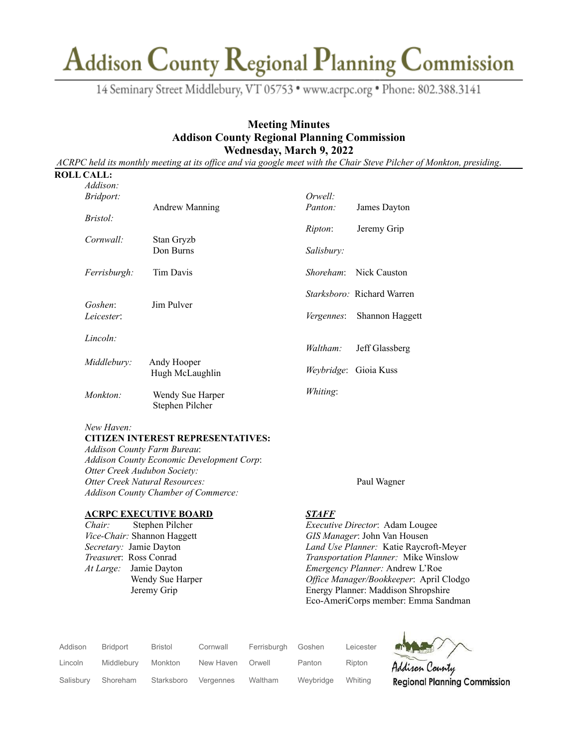14 Seminary Street Middlebury, VT 05753 · www.acrpc.org · Phone: 802.388.3141

### **Meeting Minutes Addison County Regional Planning Commission Wednesday, March 9, 2022**

ACRPC held its monthly meeting at its office and via google meet with the Chair Steve Pilcher of Monkton, presiding.

#### **ROLL CALL:**

| Addison:              |                                     | Orwell:            |                                   |  |
|-----------------------|-------------------------------------|--------------------|-----------------------------------|--|
| <i>Bridport:</i>      | <b>Andrew Manning</b>               | Panton:            | James Dayton                      |  |
| Bristol:              |                                     | <i>Ripton</i> :    | Jeremy Grip                       |  |
| Cornwall:             | Stan Gryzb                          |                    |                                   |  |
|                       | Don Burns                           | Salisbury:         |                                   |  |
| Ferrisburgh:          | <b>Tim Davis</b>                    | Shoreham:          | Nick Causton                      |  |
|                       |                                     |                    | <i>Starksboro:</i> Richard Warren |  |
| Goshen:<br>Leicester: | Jim Pulver                          | <i>Vergennes</i> : | Shannon Haggett                   |  |
| Lincoln:              |                                     | Waltham:           |                                   |  |
| Middlebury:           | Andy Hooper                         |                    | Jeff Glassberg                    |  |
|                       | Hugh McLaughlin                     |                    | <i>Weybridge</i> : Gioia Kuss     |  |
| Monkton:              | Wendy Sue Harper<br>Stephen Pilcher | Whiting:           |                                   |  |

#### *New Haven:*

#### **CITIZEN INTEREST REPRESENTATIVES:**

*Addison County Farm Bureau*: *Addison County Economic Development Corp*: *Otter Creek Audubon Society: Otter Creek Natural Resources:* Paul Wagner *Addison County Chamber of Commerce:*

### **ACRPC EXECUTIVE BOARD**

*Chair:* Stephen Pilcher *Vice-Chair:* Shannon Haggett *Secretary:* Jamie Dayton *Treasure*r: Ross Conrad *At Large:* Jamie Dayton Wendy Sue Harper Jeremy Grip

#### *STAFF*

*Executive Director*: Adam Lougee *GIS Manager*: John Van Housen *Land Use Planner:* Katie Raycroft-Meyer *Transportation Planner:* Mike Winslow *Emergency Planner:* Andrew L'Roe *Of ice Manager/Bookkeeper*: April Clodgo Energy Planner: Maddison Shropshire Eco-AmeriCorps member: Emma Sandman

J

| Addison   | <b>Bridport</b> | <b>Bristol</b> | Cornwall  | Ferrisburgh | Goshen    | Leicester | <b>ANY</b> |
|-----------|-----------------|----------------|-----------|-------------|-----------|-----------|------------|
| Lincoln   | Middlebury      | Monkton        | New Haven | Orwell      | Panton    | Ripton    | Addiso     |
| Salisbury | Shoreham        | Starksboro     | Vergennes | Waltham     | Weybridge | Whiting   | Region     |

n County al Planning Commission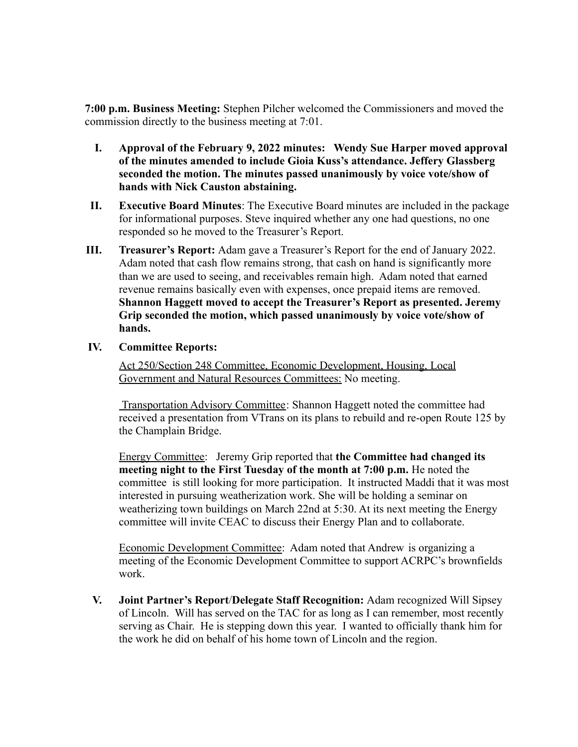**7:00 p.m. Business Meeting:** Stephen Pilcher welcomed the Commissioners and moved the commission directly to the business meeting at 7:01.

- **I. Approval of the February 9, 2022 minutes: Wendy Sue Harper moved approval of the minutes amended to include Gioia Kuss's attendance. Jeffery Glassberg seconded the motion. The minutes passed unanimously by voice vote/show of hands with Nick Causton abstaining.**
- **II. Executive Board Minutes**: The Executive Board minutes are included in the package for informational purposes. Steve inquired whether any one had questions, no one responded so he moved to the Treasurer's Report.
- **III. Treasurer's Report:** Adam gave a Treasurer's Report for the end of January 2022. Adam noted that cash flow remains strong, that cash on hand is significantly more than we are used to seeing, and receivables remain high. Adam noted that earned revenue remains basically even with expenses, once prepaid items are removed. **Shannon Haggett moved to accept the Treasurer's Report as presented. Jeremy Grip seconded the motion, which passed unanimously by voice vote/show of hands.**

### **IV. Committee Reports:**

Act 250/Section 248 Committee, Economic Development, Housing, Local Government and Natural Resources Committees: No meeting.

Transportation Advisory Committee: Shannon Haggett noted the committee had received a presentation from VTrans on its plans to rebuild and re-open Route 125 by the Champlain Bridge.

Energy Committee: Jeremy Grip reported that **the Committee had changed its meeting night to the First Tuesday of the month at 7:00 p.m.** He noted the committee is still looking for more participation. It instructed Maddi that it was most interested in pursuing weatherization work. She will be holding a seminar on weatherizing town buildings on March 22nd at 5:30. At its next meeting the Energy committee will invite CEAC to discuss their Energy Plan and to collaborate.

Economic Development Committee: Adam noted that Andrew is organizing a meeting of the Economic Development Committee to support ACRPC's brownfields work.

**V. Joint Partner's Report**/**Delegate Staff Recognition:** Adam recognized Will Sipsey of Lincoln. Will has served on the TAC for as long as I can remember, most recently serving as Chair. He is stepping down this year. I wanted to officially thank him for the work he did on behalf of his home town of Lincoln and the region.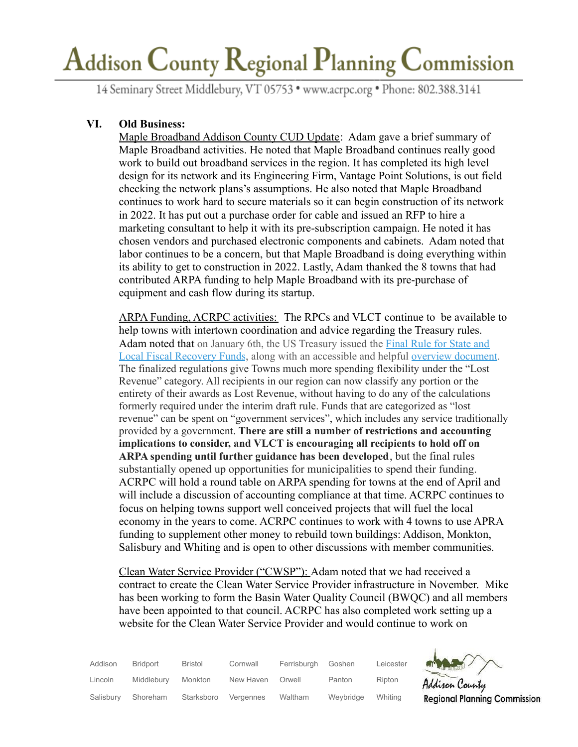14 Seminary Street Middlebury, VT 05753 · www.acrpc.org · Phone: 802.388.3141

# **VI. Old Business:**

Maple Broadband Addison County CUD Update: Adam gave a brief summary of Maple Broadband activities. He noted that Maple Broadband continues really good work to build out broadband services in the region. It has completed its high level design for its network and its Engineering Firm, Vantage Point Solutions, is out field checking the network plans's assumptions. He also noted that Maple Broadband continues to work hard to secure materials so it can begin construction of its network in 2022. It has put out a purchase order for cable and issued an RFP to hire a marketing consultant to help it with its pre-subscription campaign. He noted it has chosen vendors and purchased electronic components and cabinets. Adam noted that labor continues to be a concern, but that Maple Broadband is doing everything within its ability to get to construction in 2022. Lastly, Adam thanked the 8 towns that had contributed ARPA funding to help Maple Broadband with its pre-purchase of equipment and cash flow during its startup.

ARPA Funding, ACRPC activities: The RPCs and VLCT continue to be available to help towns with intertown coordination and advice regarding the Treasury rules. Adam noted that on January 6th, the US Treasury issued the [Final](https://track.robly.com/e12d8b8a-697c-451f-a2db-3c4ccb8075e03d3b2c015c15ab89b575b4d20b6e9bd1) Rule for State and Local Fiscal [Recovery](https://track.robly.com/e12d8b8a-697c-451f-a2db-3c4ccb8075e03d3b2c015c15ab89b575b4d20b6e9bd1) Funds, along with an accessible and helpful overview [document.](https://track.robly.com/e12d8b8a-697c-451f-a2db-3c4ccb8075e0c4793325b790a9d0e945b2bea172aabb) The finalized regulations give Towns much more spending flexibility under the "Lost Revenue" category. All recipients in our region can now classify any portion or the entirety of their awards as Lost Revenue, without having to do any of the calculations formerly required under the interim draft rule. Funds that are categorized as "lost revenue" can be spent on "government services", which includes any service traditionally provided by a government. **There are still a number of restrictions and accounting implications to consider, and VLCT is encouraging all recipients to hold off on ARPA spending until further guidance has been developed**, but the final rules substantially opened up opportunities for municipalities to spend their funding. ACRPC will hold a round table on ARPA spending for towns at the end of April and will include a discussion of accounting compliance at that time. ACRPC continues to focus on helping towns support well conceived projects that will fuel the local economy in the years to come. ACRPC continues to work with 4 towns to use APRA funding to supplement other money to rebuild town buildings: Addison, Monkton, Salisbury and Whiting and is open to other discussions with member communities.

Clean Water Service Provider ("CWSP"): Adam noted that we had received a contract to create the Clean Water Service Provider infrastructure in November. Mike has been working to form the Basin Water Quality Council (BWQC) and all members have been appointed to that council. ACRPC has also completed work setting up a website for the Clean Water Service Provider and would continue to work on

| Addison   | <b>Bridport</b> | <b>Bristol</b> | Cornwall  | Ferrisburgh | Goshen    | Leicester | MARY                                |
|-----------|-----------------|----------------|-----------|-------------|-----------|-----------|-------------------------------------|
| Lincoln   | Middlebury      | Monkton        | New Haven | Orwell      | Panton    | Ripton    | Addison County                      |
| Salisbury | Shoreham        | Starksboro     | Vergennes | Waltham     | Weybridge | Whiting   | <b>Regional Planning Commission</b> |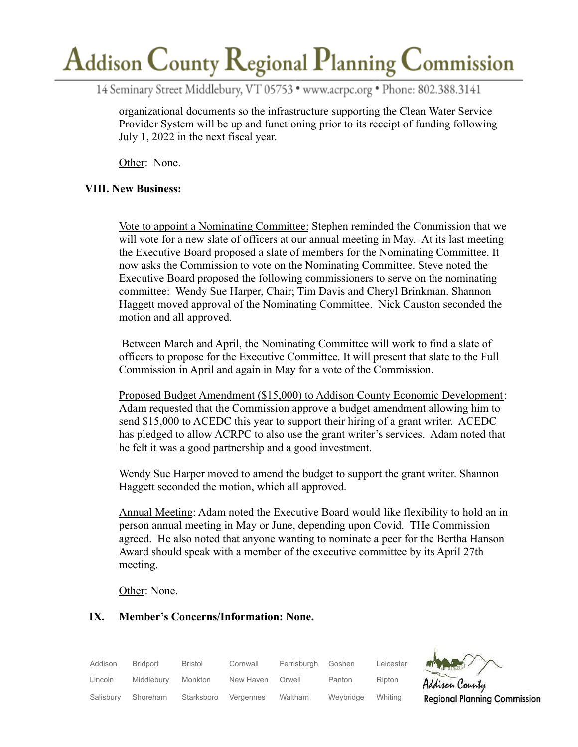14 Seminary Street Middlebury, VT 05753 · www.acrpc.org · Phone: 802.388.3141

organizational documents so the infrastructure supporting the Clean Water Service Provider System will be up and functioning prior to its receipt of funding following July 1, 2022 in the next fiscal year.

Other: None.

## **VIII. New Business:**

Vote to appoint a Nominating Committee: Stephen reminded the Commission that we will vote for a new slate of officers at our annual meeting in May. At its last meeting the Executive Board proposed a slate of members for the Nominating Committee. It now asks the Commission to vote on the Nominating Committee. Steve noted the Executive Board proposed the following commissioners to serve on the nominating committee: Wendy Sue Harper, Chair; Tim Davis and Cheryl Brinkman. Shannon Haggett moved approval of the Nominating Committee. Nick Causton seconded the motion and all approved.

Between March and April, the Nominating Committee will work to find a slate of officers to propose for the Executive Committee. It will present that slate to the Full Commission in April and again in May for a vote of the Commission.

Proposed Budget Amendment (\$15,000) to Addison County Economic Development: Adam requested that the Commission approve a budget amendment allowing him to send \$15,000 to ACEDC this year to support their hiring of a grant writer. ACEDC has pledged to allow ACRPC to also use the grant writer's services. Adam noted that he felt it was a good partnership and a good investment.

Wendy Sue Harper moved to amend the budget to support the grant writer. Shannon Haggett seconded the motion, which all approved.

Annual Meeting: Adam noted the Executive Board would like flexibility to hold an in person annual meeting in May or June, depending upon Covid. THe Commission agreed. He also noted that anyone wanting to nominate a peer for the Bertha Hanson Award should speak with a member of the executive committee by its April 27th meeting.

Other: None.

### **IX. Member's Concerns/Information: None.**

| Addison   | <b>Bridport</b> | <b>Bristol</b> | Cornwall  | Ferrisburgh | Goshen    | Leicester | $\rightarrow$                       |
|-----------|-----------------|----------------|-----------|-------------|-----------|-----------|-------------------------------------|
| Lincoln   | Middlebury      | Monkton        | New Haven | Orwell      | Panton    | Ripton    | Addison County                      |
| Salisbury | Shoreham        | Starksboro     | Vergennes | Waltham     | Weybridge | Whiting   | <b>Regional Planning Commission</b> |